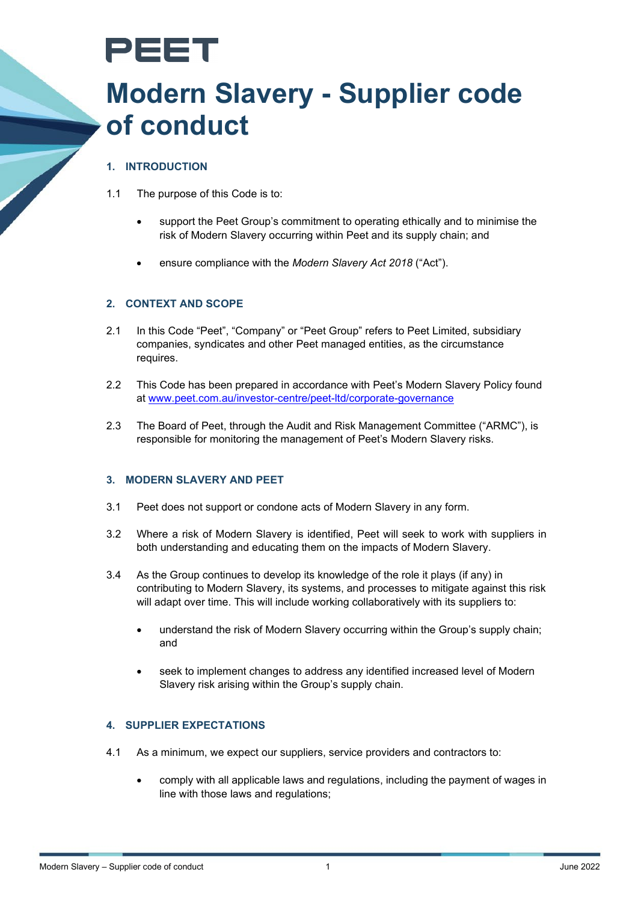

# **Modern Slavery - Supplier code of conduct**

## **1. INTRODUCTION**

- 1.1 The purpose of this Code is to:
	- support the Peet Group's commitment to operating ethically and to minimise the risk of Modern Slavery occurring within Peet and its supply chain; and
	- ensure compliance with the *Modern Slavery Act 2018* ("Act").

### **2. CONTEXT AND SCOPE**

- 2.1 In this Code "Peet", "Company" or "Peet Group" refers to Peet Limited, subsidiary companies, syndicates and other Peet managed entities, as the circumstance requires.
- 2.2 This Code has been prepared in accordance with Peet's Modern Slavery Policy found at [www.peet.com.au/investor-centre/peet-ltd/corporate-governance](https://www.peet.com.au/investor-centre/peet-ltd/corporate-governance)
- 2.3 The Board of Peet, through the Audit and Risk Management Committee ("ARMC"), is responsible for monitoring the management of Peet's Modern Slavery risks.

#### **3. MODERN SLAVERY AND PEET**

- 3.1 Peet does not support or condone acts of Modern Slavery in any form.
- 3.2 Where a risk of Modern Slavery is identified, Peet will seek to work with suppliers in both understanding and educating them on the impacts of Modern Slavery.
- 3.4 As the Group continues to develop its knowledge of the role it plays (if any) in contributing to Modern Slavery, its systems, and processes to mitigate against this risk will adapt over time. This will include working collaboratively with its suppliers to:
	- understand the risk of Modern Slavery occurring within the Group's supply chain; and
	- seek to implement changes to address any identified increased level of Modern Slavery risk arising within the Group's supply chain.

#### **4. SUPPLIER EXPECTATIONS**

- 4.1 As a minimum, we expect our suppliers, service providers and contractors to:
	- comply with all applicable laws and regulations, including the payment of wages in line with those laws and regulations;